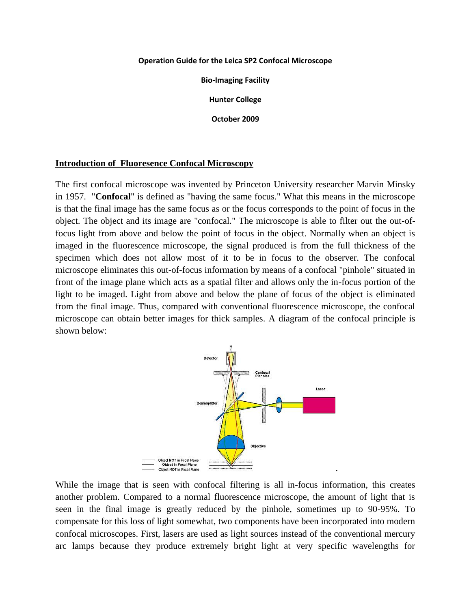#### **Operation Guide for the Leica SP2 Confocal Microscope**

**Bio-Imaging Facility**

**Hunter College**

**October 2009**

#### **Introduction of Fluoresence Confocal Microscopy**

The first confocal microscope was invented by Princeton University researcher Marvin Minsky in 1957. "**Confocal**" is defined as "having the same focus." What this means in the microscope is that the final image has the same focus as or the focus corresponds to the point of focus in the object. The object and its image are "confocal." The microscope is able to filter out the out-offocus light from above and below the point of focus in the object. Normally when an object is imaged in the fluorescence microscope, the signal produced is from the full thickness of the specimen which does not allow most of it to be in focus to the observer. The confocal microscope eliminates this out-of-focus information by means of a confocal "pinhole" situated in front of the image plane which acts as a spatial filter and allows only the in-focus portion of the light to be imaged. Light from above and below the plane of focus of the object is eliminated from the final image. Thus, compared with conventional fluorescence microscope, the confocal microscope can obtain better images for thick samples. A diagram of the confocal principle is shown below:



While the image that is seen with confocal filtering is all in-focus information, this creates another problem. Compared to a normal fluorescence microscope, the amount of light that is seen in the final image is greatly reduced by the pinhole, sometimes up to 90-95%. To compensate for this loss of light somewhat, two components have been incorporated into modern confocal microscopes. First, lasers are used as light sources instead of the conventional mercury arc lamps because they produce extremely bright light at very specific wavelengths for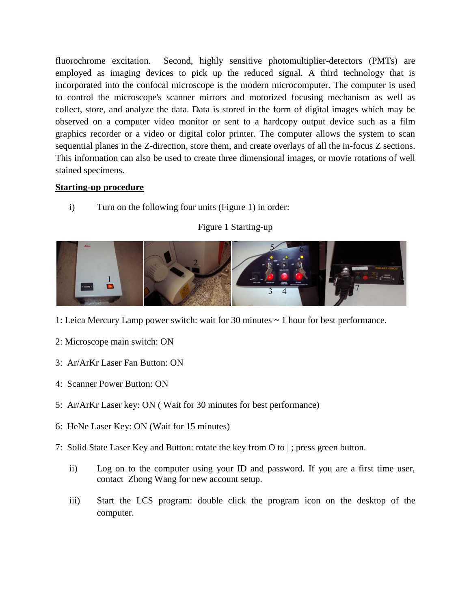fluorochrome excitation. Second, highly sensitive photomultiplier-detectors (PMTs) are employed as imaging devices to pick up the reduced signal. A third technology that is incorporated into the confocal microscope is the modern microcomputer. The computer is used to control the microscope's scanner mirrors and motorized focusing mechanism as well as collect, store, and analyze the data. Data is stored in the form of digital images which may be observed on a computer video monitor or sent to a hardcopy output device such as a film graphics recorder or a video or digital color printer. The computer allows the system to scan sequential planes in the Z-direction, store them, and create overlays of all the in-focus Z sections. This information can also be used to create three dimensional images, or movie rotations of well stained specimens.

# **Starting-up procedure**

i) Turn on the following four units (Figure 1) in order:

### Figure 1 Starting-up



- 1: Leica Mercury Lamp power switch: wait for 30 minutes ~ 1 hour for best performance.
- 2: Microscope main switch: ON
- 3: Ar/ArKr Laser Fan Button: ON
- 4: Scanner Power Button: ON
- 5: Ar/ArKr Laser key: ON ( Wait for 30 minutes for best performance)
- 6: HeNe Laser Key: ON (Wait for 15 minutes)
- 7: Solid State Laser Key and Button: rotate the key from O to | ; press green button.
	- ii) Log on to the computer using your ID and password. If you are a first time user, contact Zhong Wang for new account setup.
	- iii) Start the LCS program: double click the program icon on the desktop of the computer.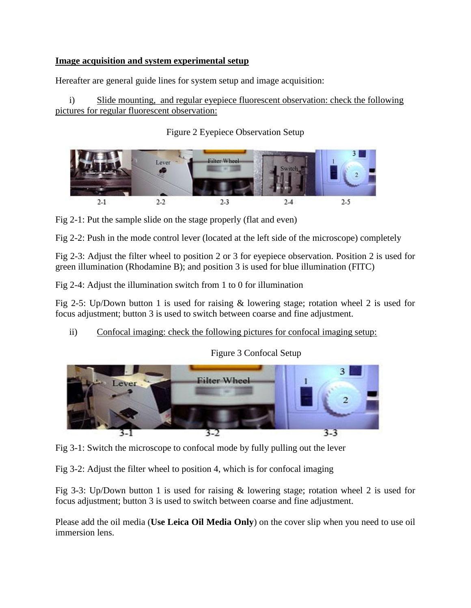## **Image acquisition and system experimental setup**

Hereafter are general guide lines for system setup and image acquisition:

i) Slide mounting, and regular eyepiece fluorescent observation: check the following pictures for regular fluorescent observation:

Figure 2 Eyepiece Observation Setup



Fig 2-1: Put the sample slide on the stage properly (flat and even)

Fig 2-2: Push in the mode control lever (located at the left side of the microscope) completely

Fig 2-3: Adjust the filter wheel to position 2 or 3 for eyepiece observation. Position 2 is used for green illumination (Rhodamine B); and position 3 is used for blue illumination (FITC)

Fig 2-4: Adjust the illumination switch from 1 to 0 for illumination

Fig 2-5: Up/Down button 1 is used for raising & lowering stage; rotation wheel 2 is used for focus adjustment; button 3 is used to switch between coarse and fine adjustment.

ii) Confocal imaging: check the following pictures for confocal imaging setup:

Figure 3 Confocal Setup



Fig 3-1: Switch the microscope to confocal mode by fully pulling out the lever

Fig 3-2: Adjust the filter wheel to position 4, which is for confocal imaging

Fig 3-3: Up/Down button 1 is used for raising & lowering stage; rotation wheel 2 is used for focus adjustment; button 3 is used to switch between coarse and fine adjustment.

Please add the oil media (**Use Leica Oil Media Only**) on the cover slip when you need to use oil immersion lens.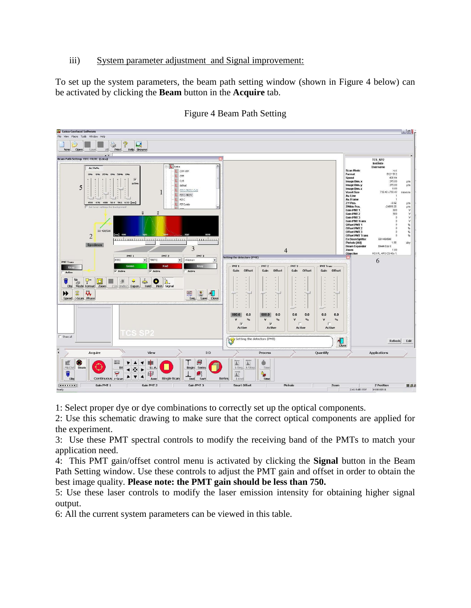## iii) System parameter adjustment and Signal improvement:

To set up the system parameters, the beam path setting window (shown in Figure 4 below) can be activated by clicking the **Beam** button in the **Acquire** tab.



### Figure 4 Beam Path Setting

1: Select proper dye or dye combinations to correctly set up the optical components.

2: Use this schematic drawing to make sure that the correct optical components are applied for the experiment.

3: Use these PMT spectral controls to modify the receiving band of the PMTs to match your application need.

4: This PMT gain/offset control menu is activated by clicking the **Signal** button in the Beam Path Setting window. Use these controls to adjust the PMT gain and offset in order to obtain the best image quality. **Please note: the PMT gain should be less than 750.**

5: Use these laser controls to modify the laser emission intensity for obtaining higher signal output.

6: All the current system parameters can be viewed in this table.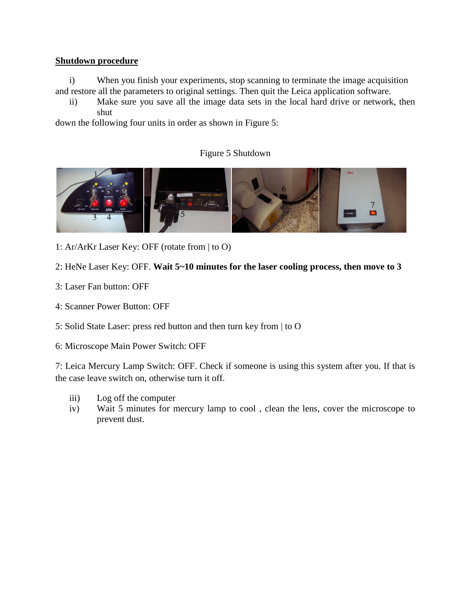### **Shutdown procedure**

i) When you finish your experiments, stop scanning to terminate the image acquisition and restore all the parameters to original settings. Then quit the Leica application software.

ii) Make sure you save all the image data sets in the local hard drive or network, then shut

down the following four units in order as shown in Figure 5:

# Figure 5 Shutdown



- 1: Ar/ArKr Laser Key: OFF (rotate from | to O)
- 2: HeNe Laser Key: OFF. **Wait 5~10 minutes for the laser cooling process, then move to 3**
- 3: Laser Fan button: OFF
- 4: Scanner Power Button: OFF
- 5: Solid State Laser: press red button and then turn key from | to O
- 6: Microscope Main Power Switch: OFF

7: Leica Mercury Lamp Switch: OFF. Check if someone is using this system after you. If that is the case leave switch on, otherwise turn it off.

- iii) Log off the computer
- iv) Wait 5 minutes for mercury lamp to cool , clean the lens, cover the microscope to prevent dust.